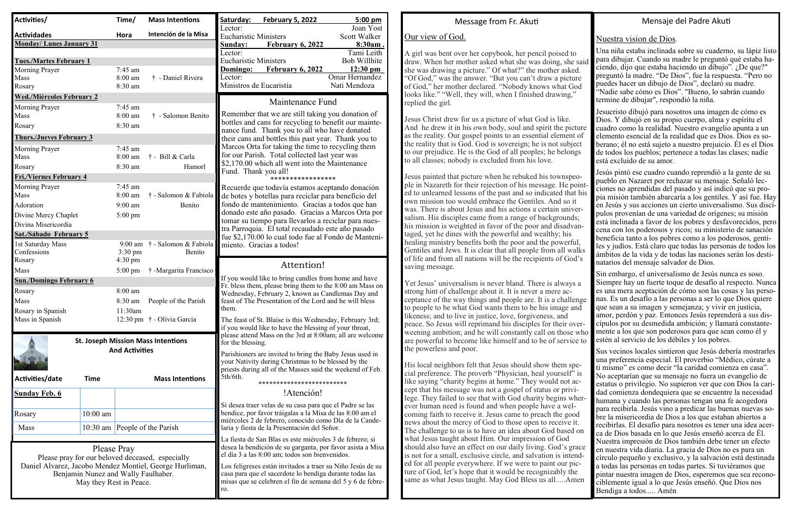## Message from Fr. Aku

# Our view of God.

A girl was bent over her copybook, her pencil poised to draw. When her mother asked what she was doing, she said she was drawing a picture." Of what?" the mother asked. "Of God," was the answer. "But you can't draw a picture of God," her mother declared. "Nobody knows what God looks like." "Well, they will, when I finished drawing," replied the girl.

Jesus Christ drew for us a picture of what God is like. And he drew it in his own body, soul and spirit the picture as the reality. Our gospel points to an essential element of the reality that is God. God is sovereign; he is not subject to our prejudice. He is the God of all peoples; he belongs to all classes; nobody is excluded from his love.

Jesus painted that picture when he rebuked his townspeople in Nazareth for their rejection of his message. He pointed to unlearned lessons of the past and so indicated that his own mission too would embrace the Gentiles. And so it was. There is about Jesus and his actions a certain universalism. His disciples came from a range of backgrounds; his mission is weighted in favor of the poor and disadvantaged, yet he dines with the powerful and wealthy; his healing ministry benefits both the poor and the powerful, Gentiles and Jews. It is clear that all people from all walks of life and from all nations will be the recipients of God's saving message.

Yet Jesus' universalism is never bland. There is always a strong hint of challenge about it. It is never a mere acceptance of the way things and people are. It is a challenge to people to be what God wants them to be his image and likeness; and to live in justice, love, forgiveness, and peace. So Jesus will reprimand his disciples for their overweening ambition; and he will constantly call on those who are powerful to become like himself and to be of service to the powerless and poor.

His local neighbors felt that Jesus should show them special preference. The proverb "Physician, heal yourself" is like saying "charity begins at home." They would not accept that his message was not a gospel of status or privilege. They failed to see that with God charity begins wherever human need is found and when people have a welcoming faith to receive it. Jesus came to preach the good news about the mercy of God to those open to receive it. The challenge to us is to have an idea about God based on what Jesus taught about Him. Our impression of God should also have an effect on our daily living. God's grace is not for a small, exclusive circle, and salvation is intended for all people everywhere. If we were to paint our picture of God, let's hope that it would be recognizably the same as what Jesus taught. May God Bless us all.....Amen

## Mensaje del Padre Aku

#### Nuestra vision de Dios.

Una niña estaba inclinada sobre su cuaderno, su lápiz listo para dibujar. Cuando su madre le preguntó qué estaba haciendo, dijo que estaba haciendo un dibujo". ¿De que?" preguntó la madre. "De Dios", fue la respuesta. "Pero no puedes hacer un dibujo de Dios", declaró su madre. "Nadie sabe cómo es Dios". "Bueno, lo sabrán cuando termine de dibujar", respondió la niña.

Jesucristo dibujó para nosotros una imagen de cómo es Dios. Y dibujó en su propio cuerpo, alma y espíritu el cuadro como la realidad. Nuestro evangelio apunta a un elemento esencial de la realidad que es Dios. Dios es so berano; él no está sujeto a nuestro prejuicio. Él es el Dios de todos los pueblos; pertenece a todas las clases; nadie está excluido de su amor.

Jesús pintó ese cuadro cuando reprendió a la gente de su pueblo en Nazaret por rechazar su mensaje. Señaló lecciones no aprendidas del pasado y así indicó que su propia misión también abarcaría a los gentiles. Y así fue. Hay en Jesús y sus acciones un cierto universalismo. Sus discípulos provenían de una variedad de orígenes; su misión está inclinada a favor de los pobres y desfavorecidos, pero cena con los poderosos y ricos; su ministerio de sanación beneficia tanto a los pobres como a los poderosos, gentiles y judíos. Está claro que todas las personas de todos los ámbitos de la vida y de todas las naciones serán los destinatarios del mensaje salvador de Dios.

Sin embargo, el universalismo de Jesús nunca es soso. Siempre hay un fuerte toque de desafío al respecto. Nunca es una mera aceptación de cómo son las cosas y las personas. Es un desafío a las personas a ser lo que Dios quiere que sean a su imagen y semejanza; y vivir en justicia, amor, perdón y paz. Entonces Jesús reprenderá a sus discípulos por su desmedida ambición; y llamará constantemente a los que son poderosos para que sean como él y estén al servicio de los débiles y los pobres.

Sus vecinos locales sintieron que Jesús debería mostrarles una preferencia especial. El proverbio "Médico, cúrate a ti mismo" es como decir "la caridad comienza en casa". No aceptarían que su mensaje no fuera un evangelio de estatus o privilegio. No supieron ver que con Dios la caridad comienza dondequiera que se encuentre la necesidad humana y cuando las personas tengan una fe acogedora para recibirla. Jesús vino a predicar las buenas nuevas sobre la misericordia de Dios a los que estaban abiertos a recibirlas. El desafío para nosotros es tener una idea acer ca de Dios basada en lo que Jesús enseñó acerca de Él. Nuestra impresión de Dios también debe tener un efecto en nuestra vida diaria. La gracia de Dios no es para un círculo pequeño y exclusivo, y la salvación está destinada a todas las personas en todas partes. Si tuviéramos que pintar nuestra imagen de Dios, esperemos que sea reconociblemente igual a lo que Jesús enseñó. Que Dios nos Bendiga a todos..... Amén

| Activities/                              |                                     | Time/                 | <b>Mass Intentions</b>                                  | Saturday:<br>Lector:                                                                                      | <b>February 5, 2022</b>                                                                                              | 5:00 pm<br>Joan Yost       |
|------------------------------------------|-------------------------------------|-----------------------|---------------------------------------------------------|-----------------------------------------------------------------------------------------------------------|----------------------------------------------------------------------------------------------------------------------|----------------------------|
| <b>Actividades</b>                       |                                     | Hora                  | Intención de la Misa                                    | <b>Eucharistic Ministers</b>                                                                              |                                                                                                                      | Scott Walker               |
| <b>Monday/Lunes January 31</b>           |                                     |                       |                                                         | Sunday:                                                                                                   | <b>February 6, 2022</b>                                                                                              | 8:30am.                    |
| <b>Tues./Martes February 1</b>           |                                     |                       |                                                         | Lector:<br><b>Eucharistic Ministers</b>                                                                   |                                                                                                                      | Tami Leith<br>Bob Willhite |
| <b>Morning Prayer</b>                    |                                     | 7:45 am               |                                                         | Domingo:                                                                                                  | <b>February 6, 2022</b>                                                                                              | $12:30 \text{ pm}$         |
| Mass                                     |                                     | 8:00 am               | † - Daniel Rivera                                       | Lector:                                                                                                   |                                                                                                                      | Omar Hernandez             |
| Rosary                                   |                                     | 8:30 am               |                                                         | Ministros de Eucaristía                                                                                   |                                                                                                                      | Nati Mendoza               |
| <b>Wed./Miércoles February 2</b>         |                                     |                       |                                                         | Maintenance Fund                                                                                          |                                                                                                                      |                            |
| <b>Morning Prayer</b>                    |                                     | 7:45 am               |                                                         |                                                                                                           |                                                                                                                      |                            |
| Mass                                     |                                     | 8:00 am               | † - Salomon Benito                                      |                                                                                                           | Remember that we are still taking you donation of<br>bottles and cans for recycling to benefit our mainte-           |                            |
| Rosary                                   |                                     | 8:30 am               |                                                         |                                                                                                           | nance fund. Thank you to all who have donated                                                                        |                            |
| <b>Thurs./Jueves February 3</b>          |                                     |                       |                                                         | their cans and bottles this past year. Thank you to                                                       |                                                                                                                      |                            |
| <b>Morning Prayer</b>                    |                                     | 7:45 am               |                                                         |                                                                                                           | Marcos Orta for taking the time to recycling them<br>for our Parish. Total collected last year was                   |                            |
| Mass                                     |                                     | 8:00 am               | † - Bill & Carla                                        |                                                                                                           | \$2,170.00 which all went into the Maintenance                                                                       |                            |
| Rosary<br><b>Fri./Viernes February 4</b> |                                     | 8:30 am               | Hamorl                                                  | Fund. Thank you all!                                                                                      |                                                                                                                      |                            |
| <b>Morning Prayer</b>                    |                                     | 7:45 am               |                                                         |                                                                                                           | *****************                                                                                                    |                            |
| Mass                                     |                                     | 8:00 am               | † - Salomon & Fabiola                                   |                                                                                                           | Recuerde que todavía estamos aceptando donación<br>de botes y botellas para reciclar para beneficio del              |                            |
| Adoration                                |                                     | $9:00$ am             | Benito                                                  |                                                                                                           | fondo de mantenimiento. Gracias a todos que han                                                                      |                            |
| Divine Mercy Chaplet                     |                                     | $5:00 \text{ pm}$     |                                                         |                                                                                                           | donado este año pasado. Gracias a Marcos Orta por                                                                    |                            |
| Divina Misericordia                      |                                     |                       |                                                         |                                                                                                           | tomar su tiempo para llevarlos a reciclar para nues-                                                                 |                            |
| Sat./Sábado February 5                   |                                     |                       |                                                         | tra Parroquia. El total recaudado este año pasado<br>fue \$2,170.00 lo cual todo fue al Fondo de Manteni- |                                                                                                                      |                            |
| 1st Saturday Mass                        |                                     | $9:00$ am             | † - Salomon & Fabiola                                   |                                                                                                           | miento. Gracias a todos!                                                                                             |                            |
| Confessions                              |                                     | $3:30 \text{ pm}$     | Benito                                                  |                                                                                                           |                                                                                                                      |                            |
|                                          |                                     | $4:30 \text{ pm}$     |                                                         |                                                                                                           |                                                                                                                      |                            |
| Rosary                                   |                                     |                       |                                                         |                                                                                                           | Attention!                                                                                                           |                            |
| Mass                                     |                                     | $5:00 \text{ pm}$     | † -Margarita Francisco                                  |                                                                                                           |                                                                                                                      |                            |
| <b>Sun./Domingo February 6</b>           |                                     |                       |                                                         |                                                                                                           | If you would like to bring candles from home and have<br>Fr. bless them, please bring them to the 8:00 am Mass on    |                            |
| Rosary                                   |                                     | 8:00 am               |                                                         |                                                                                                           | Wednesday, February 2, known as Candlemas Day and                                                                    |                            |
| Mass                                     |                                     | 8:30 am               | People of the Parish                                    | them.                                                                                                     | feast of The Presentation of the Lord and he will bless                                                              |                            |
| Rosary in Spanish                        |                                     | 11:30am               |                                                         |                                                                                                           |                                                                                                                      |                            |
| Mass in Spanish                          |                                     |                       | 12:30 pm † - Olivia Garcia                              |                                                                                                           | The feast of St. Blaise is this Wednesday, February 3rd;<br>if you would like to have the blessing of your throat,   |                            |
|                                          |                                     |                       |                                                         |                                                                                                           | please attend Mass on the 3rd at 8:00am; all are welcome                                                             |                            |
|                                          |                                     | <b>And Activities</b> | <b>St. Joseph Mission Mass Intentions</b>               | for the blessing.                                                                                         |                                                                                                                      |                            |
|                                          |                                     |                       |                                                         |                                                                                                           | Parishioners are invited to bring the Baby Jesus used in                                                             |                            |
|                                          |                                     |                       |                                                         |                                                                                                           | your Nativity during Christmas to be blessed by the<br>priests during all of the Masses said the weekend of Feb.     |                            |
| Activities/date                          | <b>Time</b>                         |                       | <b>Mass Intentions</b>                                  | 5th/6th.                                                                                                  | ************************                                                                                             |                            |
| <u>Sunday Feb. 6</u>                     |                                     |                       |                                                         |                                                                                                           | !Atención!                                                                                                           |                            |
|                                          |                                     |                       |                                                         |                                                                                                           |                                                                                                                      |                            |
| Rosary                                   | $10:00$ am                          |                       |                                                         |                                                                                                           | Si desea traer velas de su casa para que el Padre se las<br>bendice, por favor tráigalas a la Misa de las 8:00 am el |                            |
|                                          |                                     |                       |                                                         |                                                                                                           | miércoles 2 de febrero, conocido como Día de la Cande-                                                               |                            |
| Mass                                     |                                     |                       | 10:30 am People of the Parish                           |                                                                                                           | laria y fiesta de la Presentación del Señor.                                                                         |                            |
|                                          |                                     |                       |                                                         |                                                                                                           | La fiesta de San Blas es este miércoles 3 de febrero; si                                                             |                            |
|                                          |                                     | Please Pray           | Please pray for our beloved deceased, especially        |                                                                                                           | desea la bendición de su garganta, por favor asista a Misa<br>el día 3 a las 8:00 am; todos son bienvenidos.         |                            |
|                                          |                                     |                       | Daniel Alvarez, Jacobo Mendez Montiel, George Hurliman, |                                                                                                           | Los feligreses están invitados a traer su Niño Jesús de su                                                           |                            |
|                                          | Benjamin Nunez and Wally Faulhaber. |                       |                                                         |                                                                                                           | casa para que el sacerdote lo bendiga durante todas las                                                              |                            |
|                                          | May they Rest in Peace.             |                       |                                                         | ro.                                                                                                       | misas que se celebren el fin de semana del 5 y 6 de febre-                                                           |                            |